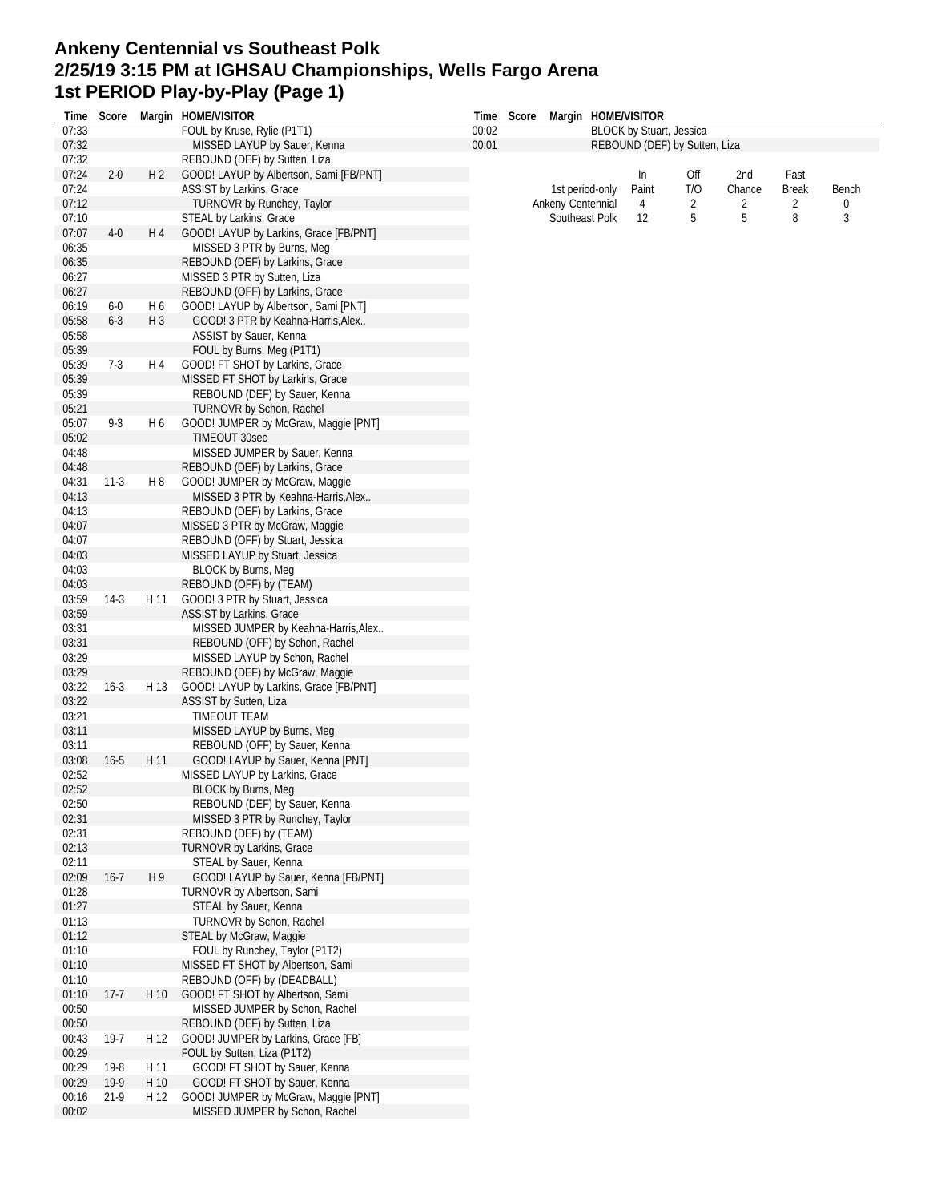#### **Ankeny Centennial vs Southeast Polk 2/25/19 3:15 PM at IGHSAU Championships, Wells Fargo Arena 1st PERIOD Play-by-Play (Page 1)**

| Time  | Score    |                | Margin HOME/VISITOR                     |       | Time Score | Margin HOME/VISITOR |                                 |                               |        |              |          |
|-------|----------|----------------|-----------------------------------------|-------|------------|---------------------|---------------------------------|-------------------------------|--------|--------------|----------|
| 07:33 |          |                | FOUL by Kruse, Rylie (P1T1)             | 00:02 |            |                     | <b>BLOCK by Stuart, Jessica</b> |                               |        |              |          |
| 07:32 |          |                | MISSED LAYUP by Sauer, Kenna            | 00:01 |            |                     |                                 | REBOUND (DEF) by Sutten, Liza |        |              |          |
| 07:32 |          |                | REBOUND (DEF) by Sutten, Liza           |       |            |                     |                                 |                               |        |              |          |
| 07:24 | $2 - 0$  | H2             | GOOD! LAYUP by Albertson, Sami [FB/PNT] |       |            |                     | In                              | Off                           | 2nd    | Fast         |          |
| 07:24 |          |                | ASSIST by Larkins, Grace                |       |            | 1st period-only     | Paint                           | T/O                           | Chance | <b>Break</b> | Bench    |
| 07:12 |          |                | TURNOVR by Runchey, Taylor              |       |            | Ankeny Centennial   | 4                               | 2                             | 2      | 2            | $\Omega$ |
| 07:10 |          |                | STEAL by Larkins, Grace                 |       |            | Southeast Polk      | 12                              | 5                             | 5      | 8            | 3        |
| 07:07 | $4-0$    | H 4            | GOOD! LAYUP by Larkins, Grace [FB/PNT]  |       |            |                     |                                 |                               |        |              |          |
| 06:35 |          |                | MISSED 3 PTR by Burns, Meg              |       |            |                     |                                 |                               |        |              |          |
| 06:35 |          |                | REBOUND (DEF) by Larkins, Grace         |       |            |                     |                                 |                               |        |              |          |
| 06:27 |          |                | MISSED 3 PTR by Sutten, Liza            |       |            |                     |                                 |                               |        |              |          |
| 06:27 |          |                | REBOUND (OFF) by Larkins, Grace         |       |            |                     |                                 |                               |        |              |          |
| 06:19 | 6-0      | H <sub>6</sub> | GOOD! LAYUP by Albertson, Sami [PNT]    |       |            |                     |                                 |                               |        |              |          |
| 05:58 | $6 - 3$  | $H_3$          | GOOD! 3 PTR by Keahna-Harris, Alex      |       |            |                     |                                 |                               |        |              |          |
| 05:58 |          |                | ASSIST by Sauer, Kenna                  |       |            |                     |                                 |                               |        |              |          |
| 05:39 |          |                | FOUL by Burns, Meg (P1T1)               |       |            |                     |                                 |                               |        |              |          |
| 05:39 | $7-3$    | H 4            | GOOD! FT SHOT by Larkins, Grace         |       |            |                     |                                 |                               |        |              |          |
| 05:39 |          |                | MISSED FT SHOT by Larkins, Grace        |       |            |                     |                                 |                               |        |              |          |
| 05:39 |          |                | REBOUND (DEF) by Sauer, Kenna           |       |            |                     |                                 |                               |        |              |          |
| 05:21 |          |                | TURNOVR by Schon, Rachel                |       |            |                     |                                 |                               |        |              |          |
| 05:07 | $9-3$    | H 6            | GOOD! JUMPER by McGraw, Maggie [PNT]    |       |            |                     |                                 |                               |        |              |          |
| 05:02 |          |                | TIMEOUT 30sec                           |       |            |                     |                                 |                               |        |              |          |
| 04:48 |          |                | MISSED JUMPER by Sauer, Kenna           |       |            |                     |                                 |                               |        |              |          |
| 04:48 |          |                | REBOUND (DEF) by Larkins, Grace         |       |            |                     |                                 |                               |        |              |          |
| 04:31 | $11-3$   | H 8            | GOOD! JUMPER by McGraw, Maggie          |       |            |                     |                                 |                               |        |              |          |
| 04:13 |          |                | MISSED 3 PTR by Keahna-Harris, Alex     |       |            |                     |                                 |                               |        |              |          |
| 04:13 |          |                | REBOUND (DEF) by Larkins, Grace         |       |            |                     |                                 |                               |        |              |          |
| 04:07 |          |                | MISSED 3 PTR by McGraw, Maggie          |       |            |                     |                                 |                               |        |              |          |
| 04:07 |          |                | REBOUND (OFF) by Stuart, Jessica        |       |            |                     |                                 |                               |        |              |          |
| 04:03 |          |                | MISSED LAYUP by Stuart, Jessica         |       |            |                     |                                 |                               |        |              |          |
| 04:03 |          |                | <b>BLOCK by Burns, Meg</b>              |       |            |                     |                                 |                               |        |              |          |
| 04:03 |          |                | REBOUND (OFF) by (TEAM)                 |       |            |                     |                                 |                               |        |              |          |
| 03:59 | $14-3$   | H 11           | GOOD! 3 PTR by Stuart, Jessica          |       |            |                     |                                 |                               |        |              |          |
| 03:59 |          |                | ASSIST by Larkins, Grace                |       |            |                     |                                 |                               |        |              |          |
| 03:31 |          |                | MISSED JUMPER by Keahna-Harris, Alex    |       |            |                     |                                 |                               |        |              |          |
| 03:31 |          |                | REBOUND (OFF) by Schon, Rachel          |       |            |                     |                                 |                               |        |              |          |
| 03:29 |          |                | MISSED LAYUP by Schon, Rachel           |       |            |                     |                                 |                               |        |              |          |
| 03:29 |          |                | REBOUND (DEF) by McGraw, Maggie         |       |            |                     |                                 |                               |        |              |          |
| 03:22 | $16-3$   | H 13           | GOOD! LAYUP by Larkins, Grace [FB/PNT]  |       |            |                     |                                 |                               |        |              |          |
| 03:22 |          |                | ASSIST by Sutten, Liza                  |       |            |                     |                                 |                               |        |              |          |
| 03:21 |          |                | TIMEOUT TEAM                            |       |            |                     |                                 |                               |        |              |          |
| 03:11 |          |                | MISSED LAYUP by Burns, Meg              |       |            |                     |                                 |                               |        |              |          |
| 03:11 |          |                | REBOUND (OFF) by Sauer, Kenna           |       |            |                     |                                 |                               |        |              |          |
| 03:08 | $16 - 5$ | H 11           | GOOD! LAYUP by Sauer, Kenna [PNT]       |       |            |                     |                                 |                               |        |              |          |
| 02:52 |          |                | MISSED LAYUP by Larkins, Grace          |       |            |                     |                                 |                               |        |              |          |
| 02:52 |          |                | BLOCK by Burns, Meg                     |       |            |                     |                                 |                               |        |              |          |
| 02:50 |          |                | REBOUND (DEF) by Sauer, Kenna           |       |            |                     |                                 |                               |        |              |          |
| 02:31 |          |                | MISSED 3 PTR by Runchey, Taylor         |       |            |                     |                                 |                               |        |              |          |
| 02:31 |          |                | REBOUND (DEF) by (TEAM)                 |       |            |                     |                                 |                               |        |              |          |
| 02:13 |          |                | TURNOVR by Larkins, Grace               |       |            |                     |                                 |                               |        |              |          |
| 02:11 |          |                | STEAL by Sauer, Kenna                   |       |            |                     |                                 |                               |        |              |          |
| 02:09 | $16 - 7$ | H 9            | GOOD! LAYUP by Sauer, Kenna [FB/PNT]    |       |            |                     |                                 |                               |        |              |          |
| 01:28 |          |                | TURNOVR by Albertson, Sami              |       |            |                     |                                 |                               |        |              |          |
| 01:27 |          |                | STEAL by Sauer, Kenna                   |       |            |                     |                                 |                               |        |              |          |
| 01:13 |          |                | TURNOVR by Schon, Rachel                |       |            |                     |                                 |                               |        |              |          |
| 01:12 |          |                | STEAL by McGraw, Maggie                 |       |            |                     |                                 |                               |        |              |          |
| 01:10 |          |                | FOUL by Runchey, Taylor (P1T2)          |       |            |                     |                                 |                               |        |              |          |
| 01:10 |          |                | MISSED FT SHOT by Albertson, Sami       |       |            |                     |                                 |                               |        |              |          |
| 01:10 |          |                | REBOUND (OFF) by (DEADBALL)             |       |            |                     |                                 |                               |        |              |          |
| 01:10 | $17-7$   | H 10           | GOOD! FT SHOT by Albertson, Sami        |       |            |                     |                                 |                               |        |              |          |
| 00:50 |          |                | MISSED JUMPER by Schon, Rachel          |       |            |                     |                                 |                               |        |              |          |
| 00:50 |          |                | REBOUND (DEF) by Sutten, Liza           |       |            |                     |                                 |                               |        |              |          |
| 00:43 | $19-7$   | H 12           | GOOD! JUMPER by Larkins, Grace [FB]     |       |            |                     |                                 |                               |        |              |          |
| 00:29 |          |                | FOUL by Sutten, Liza (P1T2)             |       |            |                     |                                 |                               |        |              |          |
| 00:29 | 19-8     | H 11           | GOOD! FT SHOT by Sauer, Kenna           |       |            |                     |                                 |                               |        |              |          |
| 00:29 | $19-9$   | H 10           | GOOD! FT SHOT by Sauer, Kenna           |       |            |                     |                                 |                               |        |              |          |
| 00:16 | $21-9$   | H 12           | GOOD! JUMPER by McGraw, Maggie [PNT]    |       |            |                     |                                 |                               |        |              |          |
| 00:02 |          |                | MISSED JUMPER by Schon, Rachel          |       |            |                     |                                 |                               |        |              |          |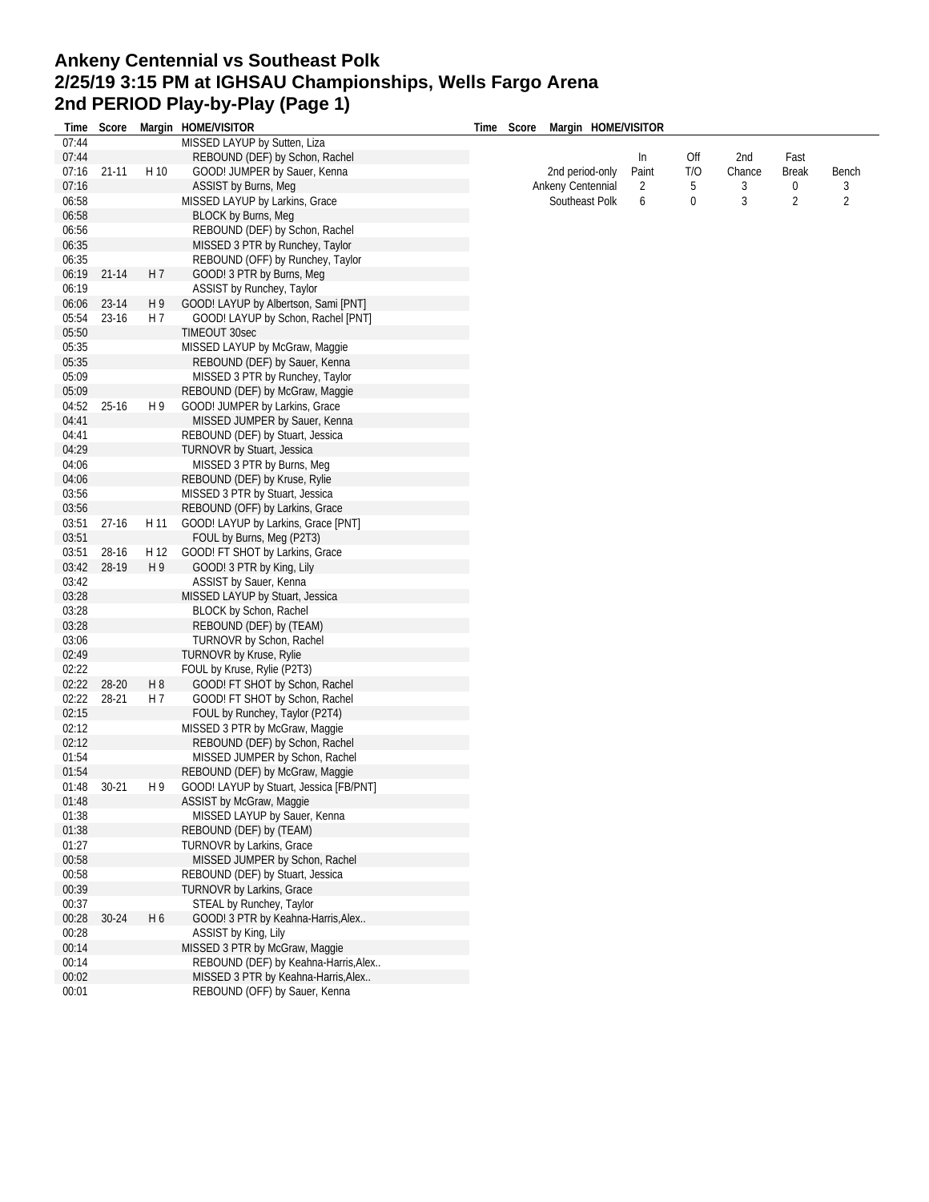# **Ankeny Centennial vs Southeast Polk 2/25/19 3:15 PM at IGHSAU Championships, Wells Fargo Arena 2nd PERIOD Play-by-Play (Page 1)**

| Time  | Score     |                | Margin HOME/VISITOR                     | Time<br>Score | Margin HOME/VISITOR |             |     |        |                |                |
|-------|-----------|----------------|-----------------------------------------|---------------|---------------------|-------------|-----|--------|----------------|----------------|
| 07:44 |           |                | MISSED LAYUP by Sutten, Liza            |               |                     |             |     |        |                |                |
| 07:44 |           |                | REBOUND (DEF) by Schon, Rachel          |               |                     |             | Off |        |                |                |
|       | $21 - 11$ | H 10           | GOOD! JUMPER by Sauer, Kenna            |               | 2nd period-only     | In<br>Paint | T/O | 2nd    | Fast           |                |
| 07:16 |           |                |                                         |               |                     |             |     | Chance | <b>Break</b>   | Bench          |
| 07:16 |           |                | ASSIST by Burns, Meg                    |               | Ankeny Centennial   | 2           | 5   | 3      | 0              | 3              |
| 06:58 |           |                | MISSED LAYUP by Larkins, Grace          |               | Southeast Polk      | 6           | 0   | 3      | $\overline{2}$ | $\overline{2}$ |
| 06:58 |           |                | <b>BLOCK by Burns, Meg</b>              |               |                     |             |     |        |                |                |
| 06:56 |           |                | REBOUND (DEF) by Schon, Rachel          |               |                     |             |     |        |                |                |
| 06:35 |           |                | MISSED 3 PTR by Runchey, Taylor         |               |                     |             |     |        |                |                |
| 06:35 |           |                | REBOUND (OFF) by Runchey, Taylor        |               |                     |             |     |        |                |                |
| 06:19 | $21 - 14$ | H <sub>7</sub> | GOOD! 3 PTR by Burns, Meg               |               |                     |             |     |        |                |                |
| 06:19 |           |                | ASSIST by Runchey, Taylor               |               |                     |             |     |        |                |                |
| 06:06 | 23-14     | H9             | GOOD! LAYUP by Albertson, Sami [PNT]    |               |                     |             |     |        |                |                |
| 05:54 | 23-16     | H 7            | GOOD! LAYUP by Schon, Rachel [PNT]      |               |                     |             |     |        |                |                |
| 05:50 |           |                | TIMEOUT 30sec                           |               |                     |             |     |        |                |                |
| 05:35 |           |                | MISSED LAYUP by McGraw, Maggie          |               |                     |             |     |        |                |                |
| 05:35 |           |                | REBOUND (DEF) by Sauer, Kenna           |               |                     |             |     |        |                |                |
| 05:09 |           |                | MISSED 3 PTR by Runchey, Taylor         |               |                     |             |     |        |                |                |
| 05:09 |           |                | REBOUND (DEF) by McGraw, Maggie         |               |                     |             |     |        |                |                |
| 04:52 | $25-16$   | H 9            | GOOD! JUMPER by Larkins, Grace          |               |                     |             |     |        |                |                |
| 04:41 |           |                |                                         |               |                     |             |     |        |                |                |
|       |           |                | MISSED JUMPER by Sauer, Kenna           |               |                     |             |     |        |                |                |
| 04:41 |           |                | REBOUND (DEF) by Stuart, Jessica        |               |                     |             |     |        |                |                |
| 04:29 |           |                | TURNOVR by Stuart, Jessica              |               |                     |             |     |        |                |                |
| 04:06 |           |                | MISSED 3 PTR by Burns, Meg              |               |                     |             |     |        |                |                |
| 04:06 |           |                | REBOUND (DEF) by Kruse, Rylie           |               |                     |             |     |        |                |                |
| 03:56 |           |                | MISSED 3 PTR by Stuart, Jessica         |               |                     |             |     |        |                |                |
| 03:56 |           |                | REBOUND (OFF) by Larkins, Grace         |               |                     |             |     |        |                |                |
| 03:51 | $27 - 16$ | H 11           | GOOD! LAYUP by Larkins, Grace [PNT]     |               |                     |             |     |        |                |                |
| 03:51 |           |                | FOUL by Burns, Meg (P2T3)               |               |                     |             |     |        |                |                |
| 03:51 | 28-16     | H 12           | GOOD! FT SHOT by Larkins, Grace         |               |                     |             |     |        |                |                |
| 03:42 | 28-19     | H 9            | GOOD! 3 PTR by King, Lily               |               |                     |             |     |        |                |                |
| 03:42 |           |                | ASSIST by Sauer, Kenna                  |               |                     |             |     |        |                |                |
| 03:28 |           |                | MISSED LAYUP by Stuart, Jessica         |               |                     |             |     |        |                |                |
| 03:28 |           |                | BLOCK by Schon, Rachel                  |               |                     |             |     |        |                |                |
| 03:28 |           |                | REBOUND (DEF) by (TEAM)                 |               |                     |             |     |        |                |                |
| 03:06 |           |                | TURNOVR by Schon, Rachel                |               |                     |             |     |        |                |                |
| 02:49 |           |                | TURNOVR by Kruse, Rylie                 |               |                     |             |     |        |                |                |
| 02:22 |           |                | FOUL by Kruse, Rylie (P2T3)             |               |                     |             |     |        |                |                |
|       |           |                |                                         |               |                     |             |     |        |                |                |
| 02:22 | 28-20     | H <sub>8</sub> | GOOD! FT SHOT by Schon, Rachel          |               |                     |             |     |        |                |                |
| 02:22 | 28-21     | H 7            | GOOD! FT SHOT by Schon, Rachel          |               |                     |             |     |        |                |                |
| 02:15 |           |                | FOUL by Runchey, Taylor (P2T4)          |               |                     |             |     |        |                |                |
| 02:12 |           |                | MISSED 3 PTR by McGraw, Maggie          |               |                     |             |     |        |                |                |
| 02:12 |           |                | REBOUND (DEF) by Schon, Rachel          |               |                     |             |     |        |                |                |
| 01:54 |           |                | MISSED JUMPER by Schon, Rachel          |               |                     |             |     |        |                |                |
| 01:54 |           |                | REBOUND (DEF) by McGraw, Maggie         |               |                     |             |     |        |                |                |
| 01:48 | $30 - 21$ | H 9            | GOOD! LAYUP by Stuart, Jessica [FB/PNT] |               |                     |             |     |        |                |                |
| 01:48 |           |                | ASSIST by McGraw, Maggie                |               |                     |             |     |        |                |                |
| 01:38 |           |                | MISSED LAYUP by Sauer, Kenna            |               |                     |             |     |        |                |                |
| 01:38 |           |                | REBOUND (DEF) by (TEAM)                 |               |                     |             |     |        |                |                |
| 01:27 |           |                | <b>TURNOVR by Larkins, Grace</b>        |               |                     |             |     |        |                |                |
| 00:58 |           |                | MISSED JUMPER by Schon, Rachel          |               |                     |             |     |        |                |                |
| 00:58 |           |                | REBOUND (DEF) by Stuart, Jessica        |               |                     |             |     |        |                |                |
| 00:39 |           |                | TURNOVR by Larkins, Grace               |               |                     |             |     |        |                |                |
| 00:37 |           |                | STEAL by Runchey, Taylor                |               |                     |             |     |        |                |                |
|       | $30 - 24$ | H 6            |                                         |               |                     |             |     |        |                |                |
| 00:28 |           |                | GOOD! 3 PTR by Keahna-Harris, Alex      |               |                     |             |     |        |                |                |
| 00:28 |           |                | ASSIST by King, Lily                    |               |                     |             |     |        |                |                |
| 00:14 |           |                | MISSED 3 PTR by McGraw, Maggie          |               |                     |             |     |        |                |                |
| 00:14 |           |                | REBOUND (DEF) by Keahna-Harris, Alex    |               |                     |             |     |        |                |                |
| 00:02 |           |                | MISSED 3 PTR by Keahna-Harris, Alex     |               |                     |             |     |        |                |                |
| 00:01 |           |                | REBOUND (OFF) by Sauer, Kenna           |               |                     |             |     |        |                |                |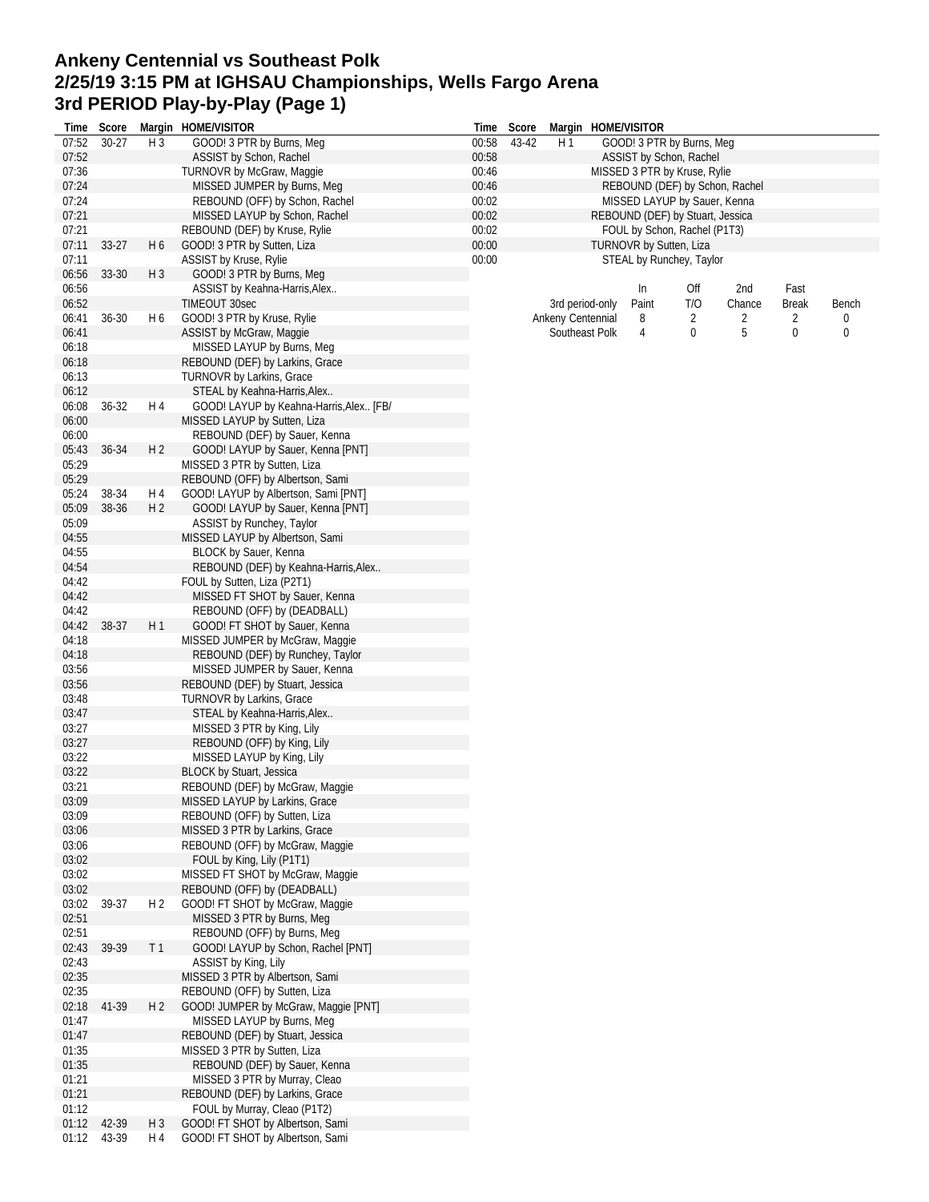# **Ankeny Centennial vs Southeast Polk 2/25/19 3:15 PM at IGHSAU Championships, Wells Fargo Arena 3rd PERIOD Play-by-Play (Page 1)**

|                | Time Score |                | Margin HOME/VISITOR                                                 |                | Time Score |                   |                 | Margin HOME/VISITOR     |                                                                |        |              |       |
|----------------|------------|----------------|---------------------------------------------------------------------|----------------|------------|-------------------|-----------------|-------------------------|----------------------------------------------------------------|--------|--------------|-------|
| 07:52          | $30 - 27$  | H <sub>3</sub> | GOOD! 3 PTR by Burns, Meg                                           | 00:58          | 43-42      | H 1               |                 |                         | GOOD! 3 PTR by Burns, Meg                                      |        |              |       |
| 07:52          |            |                | ASSIST by Schon, Rachel                                             | 00:58          |            |                   |                 |                         | ASSIST by Schon, Rachel                                        |        |              |       |
| 07:36          |            |                | TURNOVR by McGraw, Maggie                                           | 00:46          |            |                   |                 |                         | MISSED 3 PTR by Kruse, Rylie                                   |        |              |       |
| 07:24          |            |                | MISSED JUMPER by Burns, Meg<br>REBOUND (OFF) by Schon, Rachel       | 00:46          |            |                   |                 |                         | REBOUND (DEF) by Schon, Rachel<br>MISSED LAYUP by Sauer, Kenna |        |              |       |
| 07:24<br>07:21 |            |                | MISSED LAYUP by Schon, Rachel                                       | 00:02<br>00:02 |            |                   |                 |                         | REBOUND (DEF) by Stuart, Jessica                               |        |              |       |
| 07:21          |            |                | REBOUND (DEF) by Kruse, Rylie                                       | 00:02          |            |                   |                 |                         | FOUL by Schon, Rachel (P1T3)                                   |        |              |       |
| 07:11          | $33-27$    | H <sub>6</sub> | GOOD! 3 PTR by Sutten, Liza                                         | 00:00          |            |                   |                 | TURNOVR by Sutten, Liza |                                                                |        |              |       |
| 07:11          |            |                | ASSIST by Kruse, Rylie                                              | 00:00          |            |                   |                 |                         | STEAL by Runchey, Taylor                                       |        |              |       |
| 06:56          | 33-30      | $H_3$          | GOOD! 3 PTR by Burns, Meg                                           |                |            |                   |                 |                         |                                                                |        |              |       |
| 06:56          |            |                | ASSIST by Keahna-Harris, Alex                                       |                |            |                   |                 | In                      | Off                                                            | 2nd    | Fast         |       |
| 06:52          |            |                | <b>TIMEOUT 30sec</b>                                                |                |            |                   | 3rd period-only | Paint                   | T/O                                                            | Chance | <b>Break</b> | Bench |
| 06:41          | $36 - 30$  | H 6            | GOOD! 3 PTR by Kruse, Rylie                                         |                |            | Ankeny Centennial |                 | 8                       | 2                                                              | 2      | 2            | 0     |
| 06:41          |            |                | ASSIST by McGraw, Maggie                                            |                |            |                   | Southeast Polk  | 4                       | 0                                                              | 5      | 0            | 0     |
| 06:18          |            |                | MISSED LAYUP by Burns, Meg                                          |                |            |                   |                 |                         |                                                                |        |              |       |
| 06:18          |            |                | REBOUND (DEF) by Larkins, Grace                                     |                |            |                   |                 |                         |                                                                |        |              |       |
| 06:13          |            |                | TURNOVR by Larkins, Grace                                           |                |            |                   |                 |                         |                                                                |        |              |       |
| 06:12          |            |                | STEAL by Keahna-Harris, Alex                                        |                |            |                   |                 |                         |                                                                |        |              |       |
| 06:08          | 36-32      | H 4            | GOOD! LAYUP by Keahna-Harris, Alex [FB/                             |                |            |                   |                 |                         |                                                                |        |              |       |
| 06:00<br>06:00 |            |                | MISSED LAYUP by Sutten, Liza<br>REBOUND (DEF) by Sauer, Kenna       |                |            |                   |                 |                         |                                                                |        |              |       |
| 05:43          | 36-34      | H 2            | GOOD! LAYUP by Sauer, Kenna [PNT]                                   |                |            |                   |                 |                         |                                                                |        |              |       |
| 05:29          |            |                | MISSED 3 PTR by Sutten, Liza                                        |                |            |                   |                 |                         |                                                                |        |              |       |
| 05:29          |            |                | REBOUND (OFF) by Albertson, Sami                                    |                |            |                   |                 |                         |                                                                |        |              |       |
| 05:24          | 38-34      | H 4            | GOOD! LAYUP by Albertson, Sami [PNT]                                |                |            |                   |                 |                         |                                                                |        |              |       |
| 05:09          | 38-36      | H <sub>2</sub> | GOOD! LAYUP by Sauer, Kenna [PNT]                                   |                |            |                   |                 |                         |                                                                |        |              |       |
| 05:09          |            |                | ASSIST by Runchey, Taylor                                           |                |            |                   |                 |                         |                                                                |        |              |       |
| 04:55          |            |                | MISSED LAYUP by Albertson, Sami                                     |                |            |                   |                 |                         |                                                                |        |              |       |
| 04:55          |            |                | BLOCK by Sauer, Kenna                                               |                |            |                   |                 |                         |                                                                |        |              |       |
| 04:54          |            |                | REBOUND (DEF) by Keahna-Harris, Alex                                |                |            |                   |                 |                         |                                                                |        |              |       |
| 04:42          |            |                | FOUL by Sutten, Liza (P2T1)                                         |                |            |                   |                 |                         |                                                                |        |              |       |
| 04:42          |            |                | MISSED FT SHOT by Sauer, Kenna                                      |                |            |                   |                 |                         |                                                                |        |              |       |
| 04:42          |            |                | REBOUND (OFF) by (DEADBALL)                                         |                |            |                   |                 |                         |                                                                |        |              |       |
| 04:42          | 38-37      | H1             | GOOD! FT SHOT by Sauer, Kenna                                       |                |            |                   |                 |                         |                                                                |        |              |       |
| 04:18<br>04:18 |            |                | MISSED JUMPER by McGraw, Maggie<br>REBOUND (DEF) by Runchey, Taylor |                |            |                   |                 |                         |                                                                |        |              |       |
| 03:56          |            |                | MISSED JUMPER by Sauer, Kenna                                       |                |            |                   |                 |                         |                                                                |        |              |       |
| 03:56          |            |                | REBOUND (DEF) by Stuart, Jessica                                    |                |            |                   |                 |                         |                                                                |        |              |       |
| 03:48          |            |                | TURNOVR by Larkins, Grace                                           |                |            |                   |                 |                         |                                                                |        |              |       |
| 03:47          |            |                | STEAL by Keahna-Harris, Alex                                        |                |            |                   |                 |                         |                                                                |        |              |       |
| 03:27          |            |                | MISSED 3 PTR by King, Lily                                          |                |            |                   |                 |                         |                                                                |        |              |       |
| 03:27          |            |                | REBOUND (OFF) by King, Lily                                         |                |            |                   |                 |                         |                                                                |        |              |       |
| 03:22          |            |                | MISSED LAYUP by King, Lily                                          |                |            |                   |                 |                         |                                                                |        |              |       |
| 03:22          |            |                | BLOCK by Stuart, Jessica                                            |                |            |                   |                 |                         |                                                                |        |              |       |
| 03:21          |            |                | REBOUND (DEF) by McGraw, Maggie                                     |                |            |                   |                 |                         |                                                                |        |              |       |
| 03:09          |            |                | MISSED LAYUP by Larkins, Grace                                      |                |            |                   |                 |                         |                                                                |        |              |       |
| 03:09          |            |                | REBOUND (OFF) by Sutten, Liza                                       |                |            |                   |                 |                         |                                                                |        |              |       |
| 03:06<br>03:06 |            |                | MISSED 3 PTR by Larkins, Grace<br>REBOUND (OFF) by McGraw, Maggie   |                |            |                   |                 |                         |                                                                |        |              |       |
| 03:02          |            |                | FOUL by King, Lily (P1T1)                                           |                |            |                   |                 |                         |                                                                |        |              |       |
| 03:02          |            |                | MISSED FT SHOT by McGraw, Maggie                                    |                |            |                   |                 |                         |                                                                |        |              |       |
| 03:02          |            |                | REBOUND (OFF) by (DEADBALL)                                         |                |            |                   |                 |                         |                                                                |        |              |       |
| 03:02          | 39-37      | H <sub>2</sub> | GOOD! FT SHOT by McGraw, Maggie                                     |                |            |                   |                 |                         |                                                                |        |              |       |
| 02:51          |            |                | MISSED 3 PTR by Burns, Meg                                          |                |            |                   |                 |                         |                                                                |        |              |       |
| 02:51          |            |                | REBOUND (OFF) by Burns, Meg                                         |                |            |                   |                 |                         |                                                                |        |              |       |
| 02:43          | 39-39      | T <sub>1</sub> | GOOD! LAYUP by Schon, Rachel [PNT]                                  |                |            |                   |                 |                         |                                                                |        |              |       |
| 02:43          |            |                | ASSIST by King, Lily                                                |                |            |                   |                 |                         |                                                                |        |              |       |
| 02:35          |            |                | MISSED 3 PTR by Albertson, Sami                                     |                |            |                   |                 |                         |                                                                |        |              |       |
| 02:35          |            |                | REBOUND (OFF) by Sutten, Liza                                       |                |            |                   |                 |                         |                                                                |        |              |       |
| 02:18          | 41-39      | H <sub>2</sub> | GOOD! JUMPER by McGraw, Maggie [PNT]                                |                |            |                   |                 |                         |                                                                |        |              |       |
| 01:47<br>01:47 |            |                | MISSED LAYUP by Burns, Meg<br>REBOUND (DEF) by Stuart, Jessica      |                |            |                   |                 |                         |                                                                |        |              |       |
| 01:35          |            |                | MISSED 3 PTR by Sutten, Liza                                        |                |            |                   |                 |                         |                                                                |        |              |       |
| 01:35          |            |                | REBOUND (DEF) by Sauer, Kenna                                       |                |            |                   |                 |                         |                                                                |        |              |       |
| 01:21          |            |                | MISSED 3 PTR by Murray, Cleao                                       |                |            |                   |                 |                         |                                                                |        |              |       |
| 01:21          |            |                | REBOUND (DEF) by Larkins, Grace                                     |                |            |                   |                 |                         |                                                                |        |              |       |
| 01:12          |            |                | FOUL by Murray, Cleao (P1T2)                                        |                |            |                   |                 |                         |                                                                |        |              |       |
| 01:12          | 42-39      | H <sub>3</sub> | GOOD! FT SHOT by Albertson, Sami                                    |                |            |                   |                 |                         |                                                                |        |              |       |
| 01:12          | 43-39      | H 4            | GOOD! FT SHOT by Albertson, Sami                                    |                |            |                   |                 |                         |                                                                |        |              |       |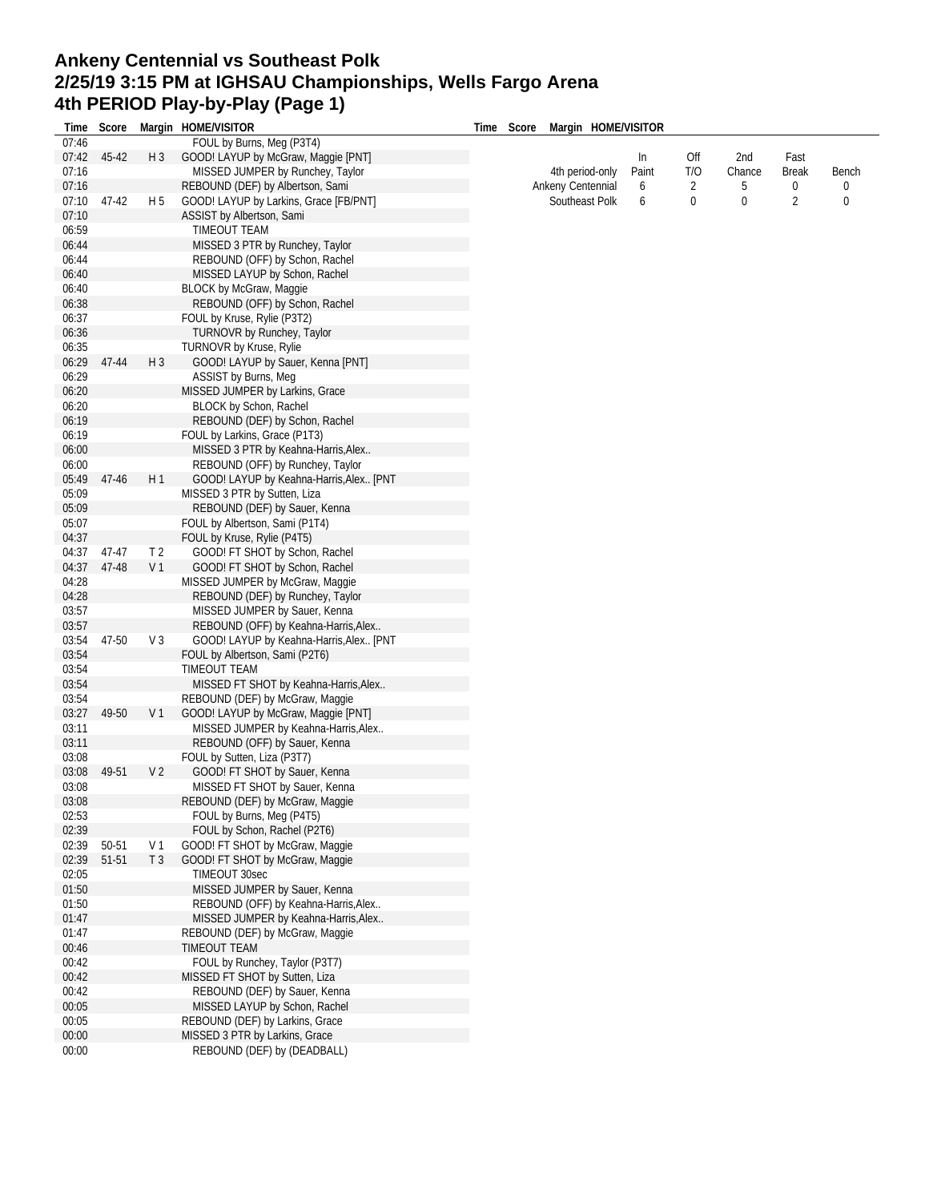# **Ankeny Centennial vs Southeast Polk 2/25/19 3:15 PM at IGHSAU Championships, Wells Fargo Arena 4th PERIOD Play-by-Play (Page 1)**

| Time  | Score |                | Margin HOME/VISITOR                     | Time Score | Margin HOME/VISITOR |       |                  |        |                  |       |
|-------|-------|----------------|-----------------------------------------|------------|---------------------|-------|------------------|--------|------------------|-------|
| 07:46 |       |                | FOUL by Burns, Meg (P3T4)               |            |                     |       |                  |        |                  |       |
| 07:42 | 45-42 | $H_3$          | GOOD! LAYUP by McGraw, Maggie [PNT]     |            |                     | In    | Off              | 2nd    | Fast             |       |
| 07:16 |       |                | MISSED JUMPER by Runchey, Taylor        |            | 4th period-only     | Paint | T/O              | Chance | <b>Break</b>     | Bench |
| 07:16 |       |                | REBOUND (DEF) by Albertson, Sami        |            | Ankeny Centennial   | 6     | 2                | 5      | $\boldsymbol{0}$ | 0     |
| 07:10 | 47-42 | H 5            | GOOD! LAYUP by Larkins, Grace [FB/PNT]  |            | Southeast Polk      | 6     | $\boldsymbol{0}$ | 0      | 2                | 0     |
| 07:10 |       |                | ASSIST by Albertson, Sami               |            |                     |       |                  |        |                  |       |
| 06:59 |       |                | TIMEOUT TEAM                            |            |                     |       |                  |        |                  |       |
| 06:44 |       |                | MISSED 3 PTR by Runchey, Taylor         |            |                     |       |                  |        |                  |       |
| 06:44 |       |                | REBOUND (OFF) by Schon, Rachel          |            |                     |       |                  |        |                  |       |
| 06:40 |       |                | MISSED LAYUP by Schon, Rachel           |            |                     |       |                  |        |                  |       |
| 06:40 |       |                | <b>BLOCK by McGraw, Maggie</b>          |            |                     |       |                  |        |                  |       |
| 06:38 |       |                | REBOUND (OFF) by Schon, Rachel          |            |                     |       |                  |        |                  |       |
| 06:37 |       |                | FOUL by Kruse, Rylie (P3T2)             |            |                     |       |                  |        |                  |       |
| 06:36 |       |                | TURNOVR by Runchey, Taylor              |            |                     |       |                  |        |                  |       |
| 06:35 |       |                | TURNOVR by Kruse, Rylie                 |            |                     |       |                  |        |                  |       |
| 06:29 | 47-44 | $H_3$          | GOOD! LAYUP by Sauer, Kenna [PNT]       |            |                     |       |                  |        |                  |       |
| 06:29 |       |                | ASSIST by Burns, Meg                    |            |                     |       |                  |        |                  |       |
| 06:20 |       |                |                                         |            |                     |       |                  |        |                  |       |
|       |       |                | MISSED JUMPER by Larkins, Grace         |            |                     |       |                  |        |                  |       |
| 06:20 |       |                | BLOCK by Schon, Rachel                  |            |                     |       |                  |        |                  |       |
| 06:19 |       |                | REBOUND (DEF) by Schon, Rachel          |            |                     |       |                  |        |                  |       |
| 06:19 |       |                | FOUL by Larkins, Grace (P1T3)           |            |                     |       |                  |        |                  |       |
| 06:00 |       |                | MISSED 3 PTR by Keahna-Harris, Alex     |            |                     |       |                  |        |                  |       |
| 06:00 |       |                | REBOUND (OFF) by Runchey, Taylor        |            |                     |       |                  |        |                  |       |
| 05:49 | 47-46 | H1             | GOOD! LAYUP by Keahna-Harris, Alex [PNT |            |                     |       |                  |        |                  |       |
| 05:09 |       |                | MISSED 3 PTR by Sutten, Liza            |            |                     |       |                  |        |                  |       |
| 05:09 |       |                | REBOUND (DEF) by Sauer, Kenna           |            |                     |       |                  |        |                  |       |
| 05:07 |       |                | FOUL by Albertson, Sami (P1T4)          |            |                     |       |                  |        |                  |       |
| 04:37 |       |                | FOUL by Kruse, Rylie (P4T5)             |            |                     |       |                  |        |                  |       |
| 04:37 | 47-47 | T <sub>2</sub> | GOOD! FT SHOT by Schon, Rachel          |            |                     |       |                  |        |                  |       |
| 04:37 | 47-48 | V <sub>1</sub> | GOOD! FT SHOT by Schon, Rachel          |            |                     |       |                  |        |                  |       |
| 04:28 |       |                | MISSED JUMPER by McGraw, Maggie         |            |                     |       |                  |        |                  |       |
| 04:28 |       |                | REBOUND (DEF) by Runchey, Taylor        |            |                     |       |                  |        |                  |       |
| 03:57 |       |                | MISSED JUMPER by Sauer, Kenna           |            |                     |       |                  |        |                  |       |
| 03:57 |       |                | REBOUND (OFF) by Keahna-Harris, Alex    |            |                     |       |                  |        |                  |       |
| 03:54 | 47-50 | V <sub>3</sub> | GOOD! LAYUP by Keahna-Harris, Alex [PNT |            |                     |       |                  |        |                  |       |
| 03:54 |       |                | FOUL by Albertson, Sami (P2T6)          |            |                     |       |                  |        |                  |       |
| 03:54 |       |                | TIMEOUT TEAM                            |            |                     |       |                  |        |                  |       |
| 03:54 |       |                | MISSED FT SHOT by Keahna-Harris, Alex   |            |                     |       |                  |        |                  |       |
| 03:54 |       |                | REBOUND (DEF) by McGraw, Maggie         |            |                     |       |                  |        |                  |       |
| 03:27 | 49-50 | V <sub>1</sub> | GOOD! LAYUP by McGraw, Maggie [PNT]     |            |                     |       |                  |        |                  |       |
| 03:11 |       |                | MISSED JUMPER by Keahna-Harris, Alex    |            |                     |       |                  |        |                  |       |
| 03:11 |       |                | REBOUND (OFF) by Sauer, Kenna           |            |                     |       |                  |        |                  |       |
| 03:08 |       |                | FOUL by Sutten, Liza (P3T7)             |            |                     |       |                  |        |                  |       |
| 03:08 | 49-51 | V <sub>2</sub> | GOOD! FT SHOT by Sauer, Kenna           |            |                     |       |                  |        |                  |       |
| 03:08 |       |                | MISSED FT SHOT by Sauer, Kenna          |            |                     |       |                  |        |                  |       |
| 03:08 |       |                | REBOUND (DEF) by McGraw, Maggie         |            |                     |       |                  |        |                  |       |
| 02:53 |       |                | FOUL by Burns, Meg (P4T5)               |            |                     |       |                  |        |                  |       |
| 02:39 |       |                | FOUL by Schon, Rachel (P2T6)            |            |                     |       |                  |        |                  |       |
| 02:39 | 50-51 | V 1            | GOOD! FT SHOT by McGraw, Maggie         |            |                     |       |                  |        |                  |       |
| 02:39 | 51-51 | T <sub>3</sub> | GOOD! FT SHOT by McGraw, Maggie         |            |                     |       |                  |        |                  |       |
| 02:05 |       |                | TIMEOUT 30sec                           |            |                     |       |                  |        |                  |       |
| 01:50 |       |                | MISSED JUMPER by Sauer, Kenna           |            |                     |       |                  |        |                  |       |
| 01:50 |       |                | REBOUND (OFF) by Keahna-Harris, Alex    |            |                     |       |                  |        |                  |       |
| 01:47 |       |                | MISSED JUMPER by Keahna-Harris, Alex    |            |                     |       |                  |        |                  |       |
| 01:47 |       |                | REBOUND (DEF) by McGraw, Maggie         |            |                     |       |                  |        |                  |       |
| 00:46 |       |                | TIMEOUT TEAM                            |            |                     |       |                  |        |                  |       |
| 00:42 |       |                | FOUL by Runchey, Taylor (P3T7)          |            |                     |       |                  |        |                  |       |
| 00:42 |       |                |                                         |            |                     |       |                  |        |                  |       |
|       |       |                | MISSED FT SHOT by Sutten, Liza          |            |                     |       |                  |        |                  |       |
| 00:42 |       |                | REBOUND (DEF) by Sauer, Kenna           |            |                     |       |                  |        |                  |       |
| 00:05 |       |                | MISSED LAYUP by Schon, Rachel           |            |                     |       |                  |        |                  |       |
| 00:05 |       |                | REBOUND (DEF) by Larkins, Grace         |            |                     |       |                  |        |                  |       |
| 00:00 |       |                | MISSED 3 PTR by Larkins, Grace          |            |                     |       |                  |        |                  |       |
| 00:00 |       |                | REBOUND (DEF) by (DEADBALL)             |            |                     |       |                  |        |                  |       |